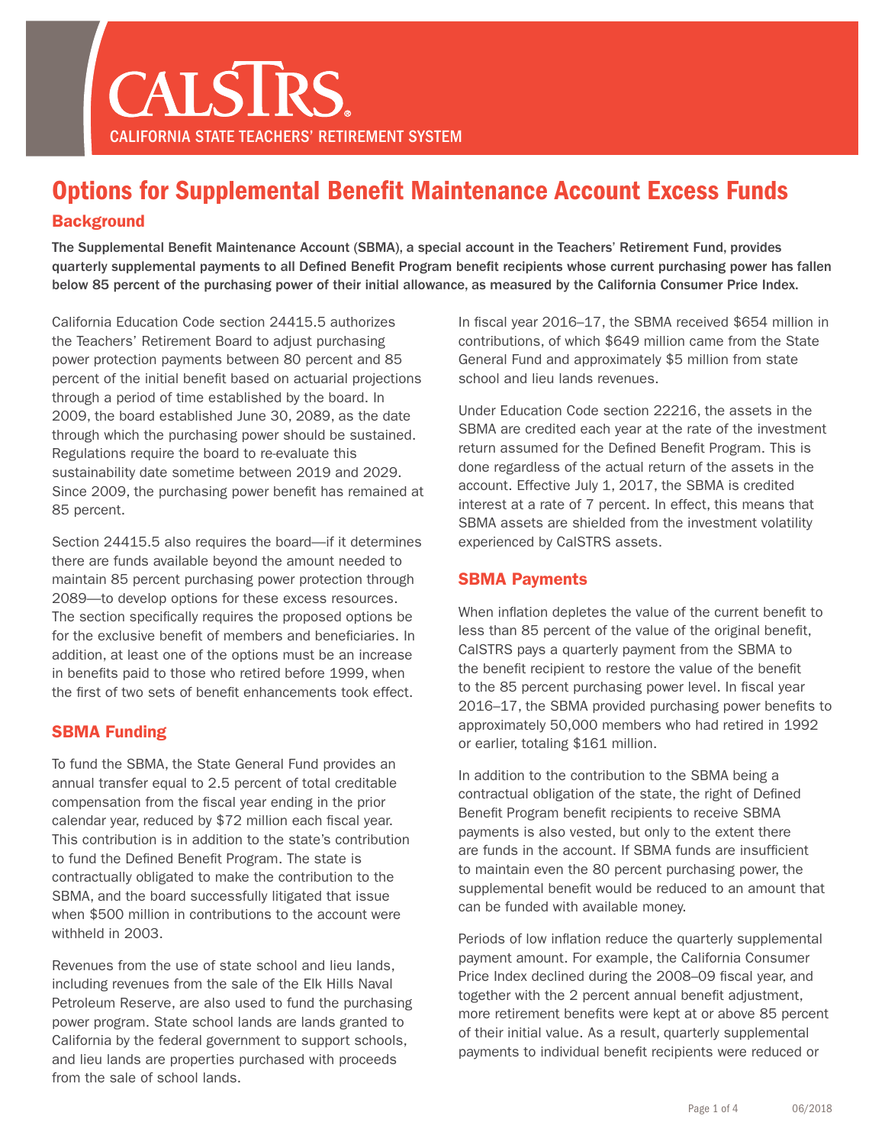

# Options for Supplemental Benefit Maintenance Account Excess Funds **Background**

The Supplemental Benefit Maintenance Account (SBMA), a special account in the Teachers' Retirement Fund, provides quarterly supplemental payments to all Defined Benefit Program benefit recipients whose current purchasing power has fallen below 85 percent of the purchasing power of their initial allowance, as measured by the California Consumer Price Index.

California Education Code section 24415.5 authorizes the Teachers' Retirement Board to adjust purchasing power protection payments between 80 percent and 85 percent of the initial benefit based on actuarial projections through a period of time established by the board. In 2009, the board established June 30, 2089, as the date through which the purchasing power should be sustained. Regulations require the board to re-evaluate this sustainability date sometime between 2019 and 2029. Since 2009, the purchasing power benefit has remained at 85 percent.

Section 24415.5 also requires the board—if it determines there are funds available beyond the amount needed to maintain 85 percent purchasing power protection through 2089—to develop options for these excess resources. The section specifically requires the proposed options be for the exclusive benefit of members and beneficiaries. In addition, at least one of the options must be an increase in benefits paid to those who retired before 1999, when the first of two sets of benefit enhancements took effect.

## SBMA Funding

To fund the SBMA, the State General Fund provides an annual transfer equal to 2.5 percent of total creditable compensation from the fiscal year ending in the prior calendar year, reduced by \$72 million each fiscal year. This contribution is in addition to the state's contribution to fund the Defined Benefit Program. The state is contractually obligated to make the contribution to the SBMA, and the board successfully litigated that issue when \$500 million in contributions to the account were withheld in 2003.

Revenues from the use of state school and lieu lands, including revenues from the sale of the Elk Hills Naval Petroleum Reserve, are also used to fund the purchasing power program. State school lands are lands granted to California by the federal government to support schools, and lieu lands are properties purchased with proceeds from the sale of school lands.

In fiscal year 2016–17, the SBMA received \$654 million in contributions, of which \$649 million came from the State General Fund and approximately \$5 million from state school and lieu lands revenues.

Under Education Code section 22216, the assets in the SBMA are credited each year at the rate of the investment return assumed for the Defined Benefit Program. This is done regardless of the actual return of the assets in the account. Effective July 1, 2017, the SBMA is credited interest at a rate of 7 percent. In effect, this means that SBMA assets are shielded from the investment volatility experienced by CalSTRS assets.

## SBMA Payments

When inflation depletes the value of the current benefit to less than 85 percent of the value of the original benefit, CalSTRS pays a quarterly payment from the SBMA to the benefit recipient to restore the value of the benefit to the 85 percent purchasing power level. In fiscal year 2016–17, the SBMA provided purchasing power benefits to approximately 50,000 members who had retired in 1992 or earlier, totaling \$161 million.

In addition to the contribution to the SBMA being a contractual obligation of the state, the right of Defined Benefit Program benefit recipients to receive SBMA payments is also vested, but only to the extent there are funds in the account. If SBMA funds are insufficient to maintain even the 80 percent purchasing power, the supplemental benefit would be reduced to an amount that can be funded with available money.

Periods of low inflation reduce the quarterly supplemental payment amount. For example, the California Consumer Price Index declined during the 2008–09 fiscal year, and together with the 2 percent annual benefit adjustment, more retirement benefits were kept at or above 85 percent of their initial value. As a result, quarterly supplemental payments to individual benefit recipients were reduced or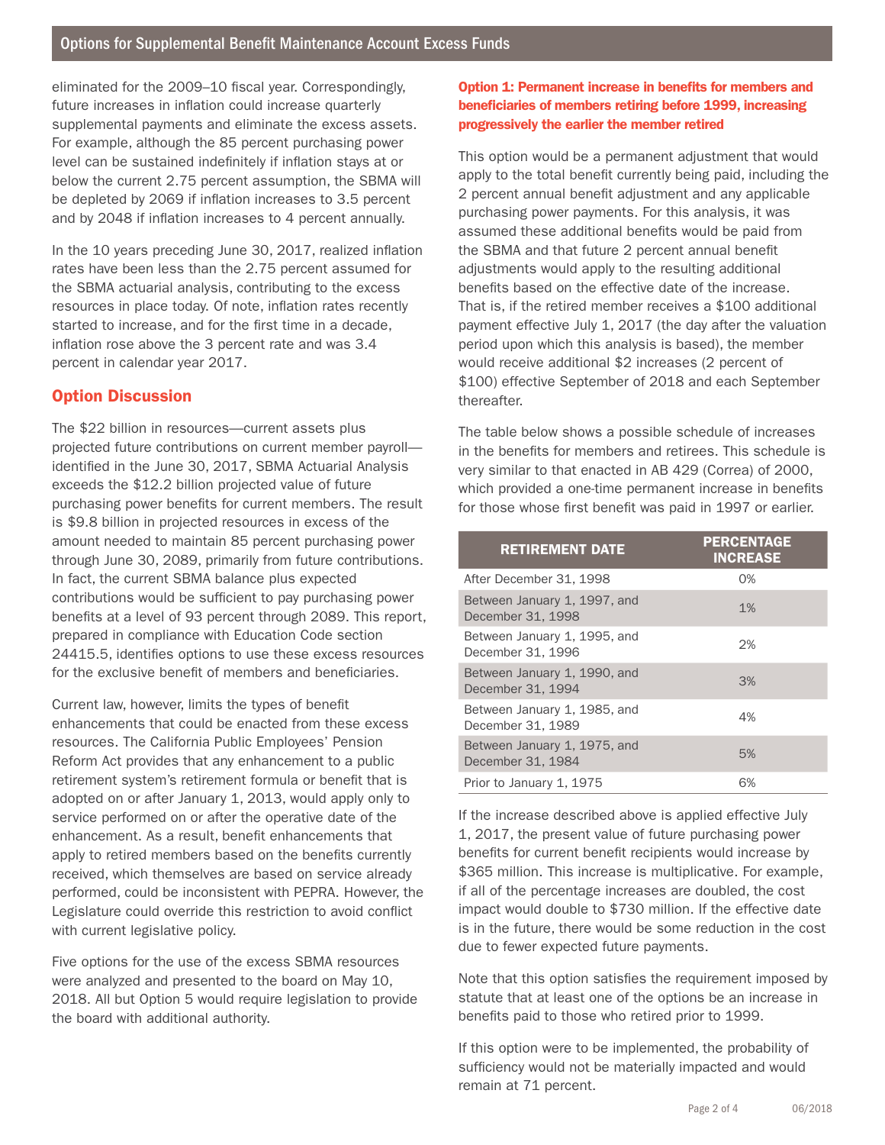eliminated for the 2009–10 fiscal year. Correspondingly, future increases in inflation could increase quarterly supplemental payments and eliminate the excess assets. For example, although the 85 percent purchasing power level can be sustained indefinitely if inflation stays at or below the current 2.75 percent assumption, the SBMA will be depleted by 2069 if inflation increases to 3.5 percent and by 2048 if inflation increases to 4 percent annually.

In the 10 years preceding June 30, 2017, realized inflation rates have been less than the 2.75 percent assumed for the SBMA actuarial analysis, contributing to the excess resources in place today. Of note, inflation rates recently started to increase, and for the first time in a decade, inflation rose above the 3 percent rate and was 3.4 percent in calendar year 2017.

# Option Discussion

The \$22 billion in resources—current assets plus projected future contributions on current member payroll identified in the June 30, 2017, SBMA Actuarial Analysis exceeds the \$12.2 billion projected value of future purchasing power benefits for current members. The result is \$9.8 billion in projected resources in excess of the amount needed to maintain 85 percent purchasing power through June 30, 2089, primarily from future contributions. In fact, the current SBMA balance plus expected contributions would be sufficient to pay purchasing power benefits at a level of 93 percent through 2089. This report, prepared in compliance with Education Code section 24415.5, identifies options to use these excess resources for the exclusive benefit of members and beneficiaries.

Current law, however, limits the types of benefit enhancements that could be enacted from these excess resources. The California Public Employees' Pension Reform Act provides that any enhancement to a public retirement system's retirement formula or benefit that is adopted on or after January 1, 2013, would apply only to service performed on or after the operative date of the enhancement. As a result, benefit enhancements that apply to retired members based on the benefits currently received, which themselves are based on service already performed, could be inconsistent with PEPRA. However, the Legislature could override this restriction to avoid conflict with current legislative policy.

Five options for the use of the excess SBMA resources were analyzed and presented to the board on May 10, 2018. All but Option 5 would require legislation to provide the board with additional authority.

### Option 1: Permanent increase in benefits for members and beneficiaries of members retiring before 1999, increasing progressively the earlier the member retired

This option would be a permanent adjustment that would apply to the total benefit currently being paid, including the 2 percent annual benefit adjustment and any applicable purchasing power payments. For this analysis, it was assumed these additional benefits would be paid from the SBMA and that future 2 percent annual benefit adjustments would apply to the resulting additional benefits based on the effective date of the increase. That is, if the retired member receives a \$100 additional payment effective July 1, 2017 (the day after the valuation period upon which this analysis is based), the member would receive additional \$2 increases (2 percent of \$100) effective September of 2018 and each September thereafter.

The table below shows a possible schedule of increases in the benefits for members and retirees. This schedule is very similar to that enacted in AB 429 (Correa) of 2000, which provided a one-time permanent increase in benefits for those whose first benefit was paid in 1997 or earlier.

| <b>RETIREMENT DATE</b>                            | <b>PERCENTAGE</b><br><b>INCREASE</b> |
|---------------------------------------------------|--------------------------------------|
| After December 31, 1998                           | 0%                                   |
| Between January 1, 1997, and<br>December 31, 1998 | 1%                                   |
| Between January 1, 1995, and<br>December 31, 1996 | 2%                                   |
| Between January 1, 1990, and<br>December 31, 1994 | 3%                                   |
| Between January 1, 1985, and<br>December 31, 1989 | 4%                                   |
| Between January 1, 1975, and<br>December 31, 1984 | 5%                                   |
| Prior to January 1, 1975                          | 6%                                   |

If the increase described above is applied effective July 1, 2017, the present value of future purchasing power benefits for current benefit recipients would increase by \$365 million. This increase is multiplicative. For example, if all of the percentage increases are doubled, the cost impact would double to \$730 million. If the effective date is in the future, there would be some reduction in the cost due to fewer expected future payments.

Note that this option satisfies the requirement imposed by statute that at least one of the options be an increase in benefits paid to those who retired prior to 1999.

If this option were to be implemented, the probability of sufficiency would not be materially impacted and would remain at 71 percent.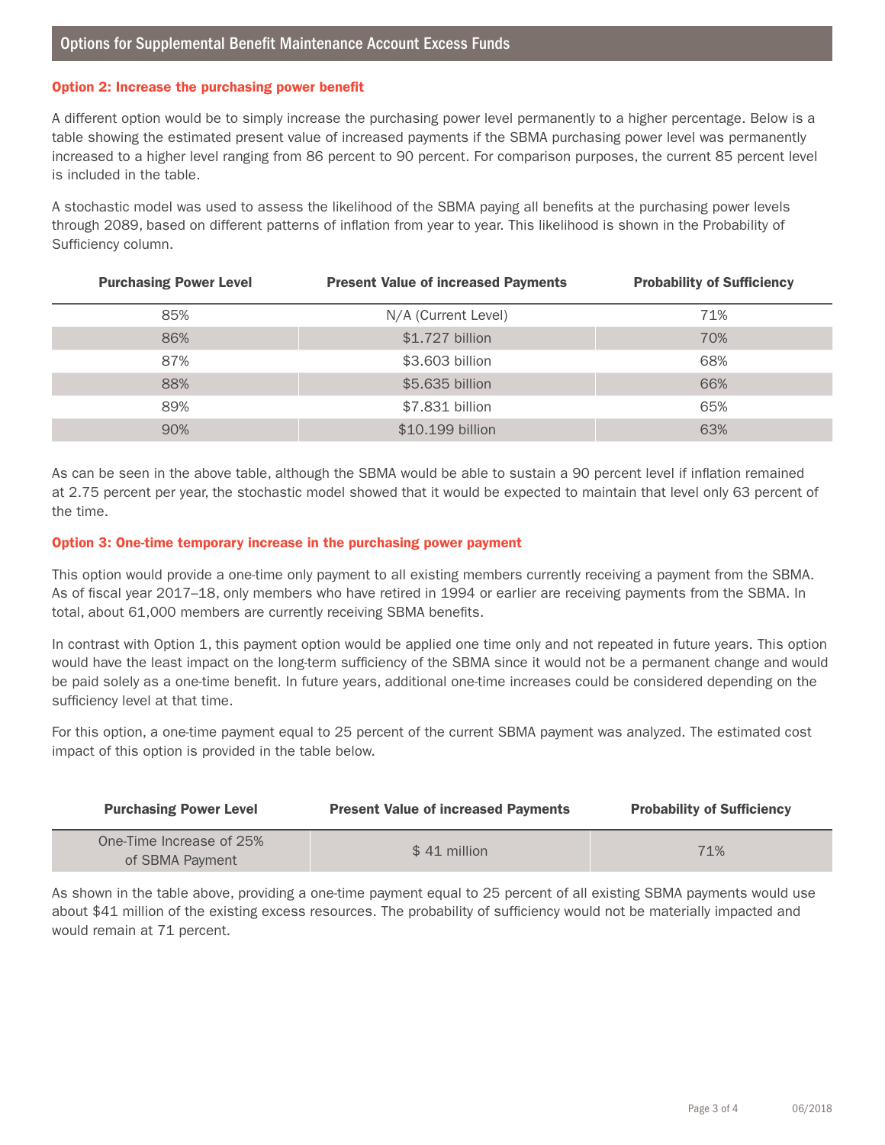#### Option 2: Increase the purchasing power benefit

A different option would be to simply increase the purchasing power level permanently to a higher percentage. Below is a table showing the estimated present value of increased payments if the SBMA purchasing power level was permanently increased to a higher level ranging from 86 percent to 90 percent. For comparison purposes, the current 85 percent level is included in the table.

A stochastic model was used to assess the likelihood of the SBMA paying all benefits at the purchasing power levels through 2089, based on different patterns of inflation from year to year. This likelihood is shown in the Probability of Sufficiency column.

| <b>Purchasing Power Level</b> | <b>Present Value of increased Payments</b> | <b>Probability of Sufficiency</b> |
|-------------------------------|--------------------------------------------|-----------------------------------|
| 85%                           | N/A (Current Level)                        | 71%                               |
| 86%                           | \$1.727 billion                            | 70%                               |
| 87%                           | \$3.603 billion                            | 68%                               |
| 88%                           | \$5.635 billion                            | 66%                               |
| 89%                           | \$7,831 billion                            | 65%                               |
| 90%                           | \$10.199 billion                           | 63%                               |

As can be seen in the above table, although the SBMA would be able to sustain a 90 percent level if inflation remained at 2.75 percent per year, the stochastic model showed that it would be expected to maintain that level only 63 percent of the time.

#### Option 3: One-time temporary increase in the purchasing power payment

This option would provide a one-time only payment to all existing members currently receiving a payment from the SBMA. As of fiscal year 2017–18, only members who have retired in 1994 or earlier are receiving payments from the SBMA. In total, about 61,000 members are currently receiving SBMA benefits.

In contrast with Option 1, this payment option would be applied one time only and not repeated in future years. This option would have the least impact on the long-term sufficiency of the SBMA since it would not be a permanent change and would be paid solely as a one-time benefit. In future years, additional one-time increases could be considered depending on the sufficiency level at that time.

For this option, a one-time payment equal to 25 percent of the current SBMA payment was analyzed. The estimated cost impact of this option is provided in the table below.

| <b>Purchasing Power Level</b>               | <b>Present Value of increased Payments</b> | <b>Probability of Sufficiency</b> |
|---------------------------------------------|--------------------------------------------|-----------------------------------|
| One-Time Increase of 25%<br>of SBMA Payment | $$41$ million                              | 71%                               |

As shown in the table above, providing a one-time payment equal to 25 percent of all existing SBMA payments would use about \$41 million of the existing excess resources. The probability of sufficiency would not be materially impacted and would remain at 71 percent.